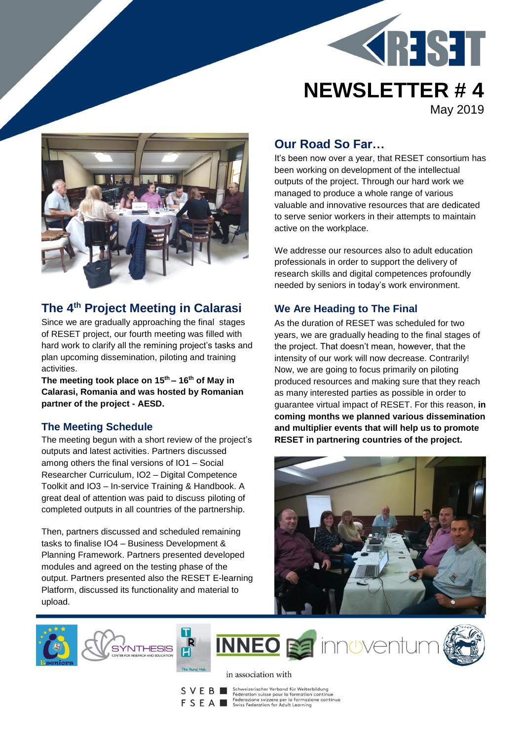



## **The 4 th Project Meeting in Calarasi**

Since we are gradually approaching the final stages of RESET project, our fourth meeting was filled with hard work to clarify all the remining project's tasks and plan upcoming dissemination, piloting and training activities.

**The meeting took place on 15th – 16th of May in Calarasi, Romania and was hosted by Romanian partner of the project - AESD.** 

#### **The Meeting Schedule**

The meeting begun with a short review of the project's outputs and latest activities. Partners discussed among others the final versions of IO1 – Social Researcher Curriculum, IO2 – Digital Competence Toolkit and IO3 – In-service Training & Handbook. A great deal of attention was paid to discuss piloting of completed outputs in all countries of the partnership.

Then, partners discussed and scheduled remaining tasks to finalise IO4 – Business Development & Planning Framework. Partners presented developed modules and agreed on the testing phase of the output. Partners presented also the RESET E-learning Platform, discussed its functionality and material to upload.

# **Our Road So Far…**

It's been now over a year, that RESET consortium has been working on development of the intellectual outputs of the project. Through our hard work we managed to produce a whole range of various valuable and innovative resources that are dedicated to serve senior workers in their attempts to maintain active on the workplace.

We addresse our resources also to adult education professionals in order to support the delivery of research skills and digital competences profoundly needed by seniors in today's work environment.

## **We Are Heading to The Final**

As the duration of RESET was scheduled for two years, we are gradually heading to the final stages of the project. That doesn't mean, however, that the intensity of our work will now decrease. Contrarily! Now, we are going to focus primarily on piloting produced resources and making sure that they reach as many interested parties as possible in order to guarantee virtual impact of RESET. For this reason, **in coming months we planned various dissemination and multiplier events that will help us to promote RESET in partnering countries of the project.** 















 $\begin{tabular}{l|c|c|c|c|c} \multicolumn{1}{c}{\textbf{S}} & \multicolumn{1}{c}{\textbf{Schweizerischer Verband für Weiterbildung}} \\ \multicolumn{1}{c}{\textbf{S}} & \multicolumn{1}{c}{\textbf{E} & \textbf{Seteraction} using \textbf{pour for matrion continue}} \\ \multicolumn{1}{c}{\textbf{F} & \textbf{S} & \textbf{H} & \textbf{Seteraction} & \textbf{Setzeror per lo formazione continue} \\ \multicolumn{1}{c}{\textbf{S} & \textbf{H} & \textbf{S} & \textbf{Swiss Federation for Adult learning} \\ \multicolumn{1}{c}{\$